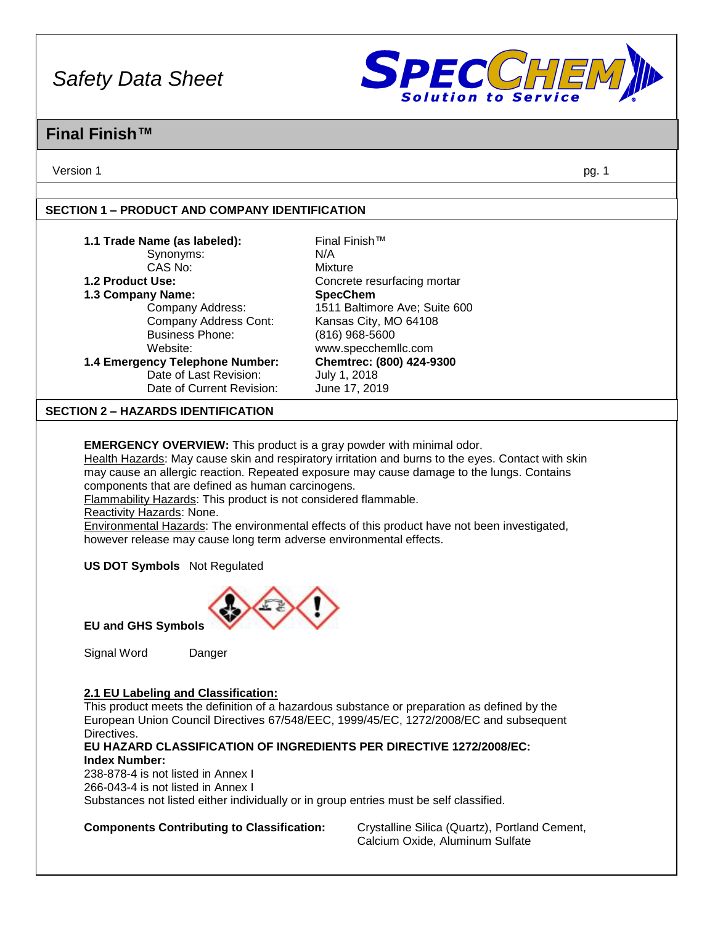

### **Final Finish™**

Version 1 pg. 1

#### **SECTION 1 – PRODUCT AND COMPANY IDENTIFICATION**

| 1.1 Trade Name (as labeled):              | Final Finish™                 |  |
|-------------------------------------------|-------------------------------|--|
| Synonyms:                                 | N/A                           |  |
| CAS No:                                   | Mixture                       |  |
| 1.2 Product Use:                          | Concrete resurfacing mortar   |  |
| 1.3 Company Name:                         | <b>SpecChem</b>               |  |
| Company Address:                          | 1511 Baltimore Ave; Suite 600 |  |
| Company Address Cont:                     | Kansas City, MO 64108         |  |
| <b>Business Phone:</b>                    | $(816)$ 968-5600              |  |
| Website:                                  | www.specchemllc.com           |  |
| 1.4 Emergency Telephone Number:           | Chemtrec: (800) 424-9300      |  |
| Date of Last Revision:                    | July 1, 2018                  |  |
| Date of Current Revision:                 | June 17, 2019                 |  |
| <b>SECTION 2 - HAZARDS IDENTIFICATION</b> |                               |  |
|                                           |                               |  |

**EMERGENCY OVERVIEW:** This product is a gray powder with minimal odor.

Health Hazards: May cause skin and respiratory irritation and burns to the eyes. Contact with skin may cause an allergic reaction. Repeated exposure may cause damage to the lungs. Contains components that are defined as human carcinogens.

Flammability Hazards: This product is not considered flammable.

Reactivity Hazards: None.

Environmental Hazards: The environmental effects of this product have not been investigated, however release may cause long term adverse environmental effects.

**US DOT Symbols** Not Regulated



**EU and GHS Symbols**

Signal Word Danger

#### **2.1 EU Labeling and Classification:**

This product meets the definition of a hazardous substance or preparation as defined by the European Union Council Directives 67/548/EEC, 1999/45/EC, 1272/2008/EC and subsequent Directives.

#### **EU HAZARD CLASSIFICATION OF INGREDIENTS PER DIRECTIVE 1272/2008/EC: Index Number:**

238-878-4 is not listed in Annex I 266-043-4 is not listed in Annex I Substances not listed either individually or in group entries must be self classified.

**Components Contributing to Classification:** Crystalline Silica (Quartz), Portland Cement,

Calcium Oxide, Aluminum Sulfate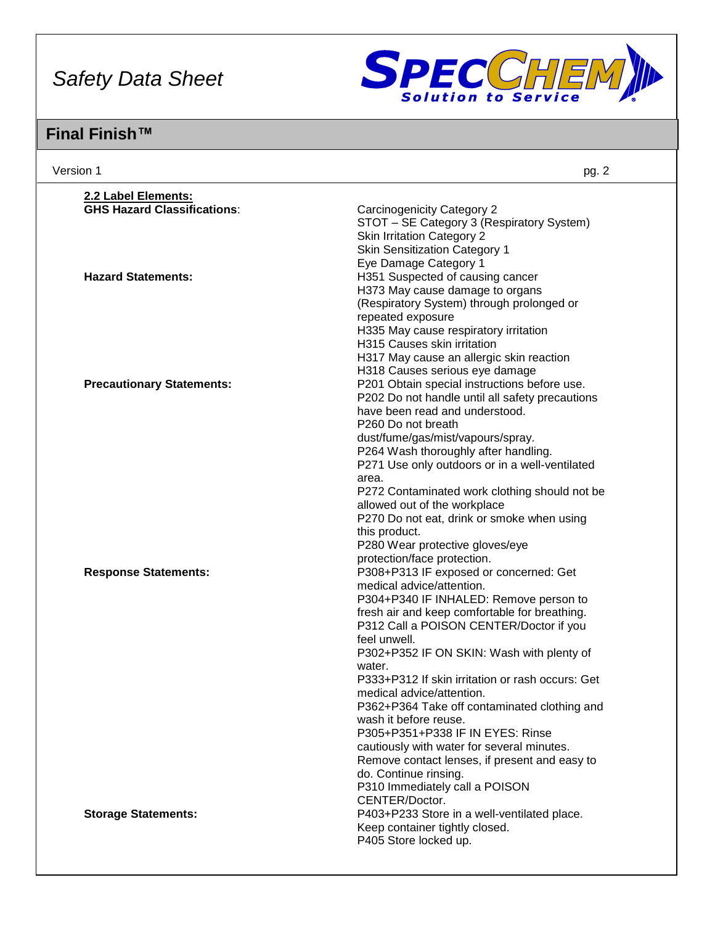

| Version 1                          | pg. 2                                                                         |
|------------------------------------|-------------------------------------------------------------------------------|
| 2.2 Label Elements:                |                                                                               |
| <b>GHS Hazard Classifications:</b> | <b>Carcinogenicity Category 2</b>                                             |
|                                    | STOT - SE Category 3 (Respiratory System)                                     |
|                                    | <b>Skin Irritation Category 2</b>                                             |
|                                    | <b>Skin Sensitization Category 1</b>                                          |
|                                    | Eye Damage Category 1                                                         |
| <b>Hazard Statements:</b>          | H351 Suspected of causing cancer                                              |
|                                    | H373 May cause damage to organs                                               |
|                                    | (Respiratory System) through prolonged or                                     |
|                                    | repeated exposure                                                             |
|                                    | H335 May cause respiratory irritation                                         |
|                                    | H315 Causes skin irritation                                                   |
|                                    | H317 May cause an allergic skin reaction                                      |
|                                    | H318 Causes serious eye damage                                                |
| <b>Precautionary Statements:</b>   | P201 Obtain special instructions before use.                                  |
|                                    | P202 Do not handle until all safety precautions                               |
|                                    | have been read and understood.<br>P260 Do not breath                          |
|                                    | dust/fume/gas/mist/vapours/spray.                                             |
|                                    | P264 Wash thoroughly after handling.                                          |
|                                    | P271 Use only outdoors or in a well-ventilated                                |
|                                    | area.                                                                         |
|                                    | P272 Contaminated work clothing should not be                                 |
|                                    | allowed out of the workplace                                                  |
|                                    | P270 Do not eat, drink or smoke when using                                    |
|                                    | this product.                                                                 |
|                                    | P280 Wear protective gloves/eye                                               |
|                                    | protection/face protection.                                                   |
| <b>Response Statements:</b>        | P308+P313 IF exposed or concerned: Get                                        |
|                                    | medical advice/attention.                                                     |
|                                    | P304+P340 IF INHALED: Remove person to                                        |
|                                    | fresh air and keep comfortable for breathing.                                 |
|                                    | P312 Call a POISON CENTER/Doctor if you                                       |
|                                    | feel unwell.                                                                  |
|                                    | P302+P352 IF ON SKIN: Wash with plenty of                                     |
|                                    | water.                                                                        |
|                                    | P333+P312 If skin irritation or rash occurs: Get<br>medical advice/attention. |
|                                    | P362+P364 Take off contaminated clothing and                                  |
|                                    | wash it before reuse.                                                         |
|                                    | P305+P351+P338 IF IN EYES: Rinse                                              |
|                                    | cautiously with water for several minutes.                                    |
|                                    | Remove contact lenses, if present and easy to                                 |
|                                    | do. Continue rinsing.                                                         |
|                                    | P310 Immediately call a POISON                                                |
|                                    | CENTER/Doctor.                                                                |
| <b>Storage Statements:</b>         | P403+P233 Store in a well-ventilated place.                                   |
|                                    | Keep container tightly closed.                                                |
|                                    | P405 Store locked up.                                                         |
|                                    |                                                                               |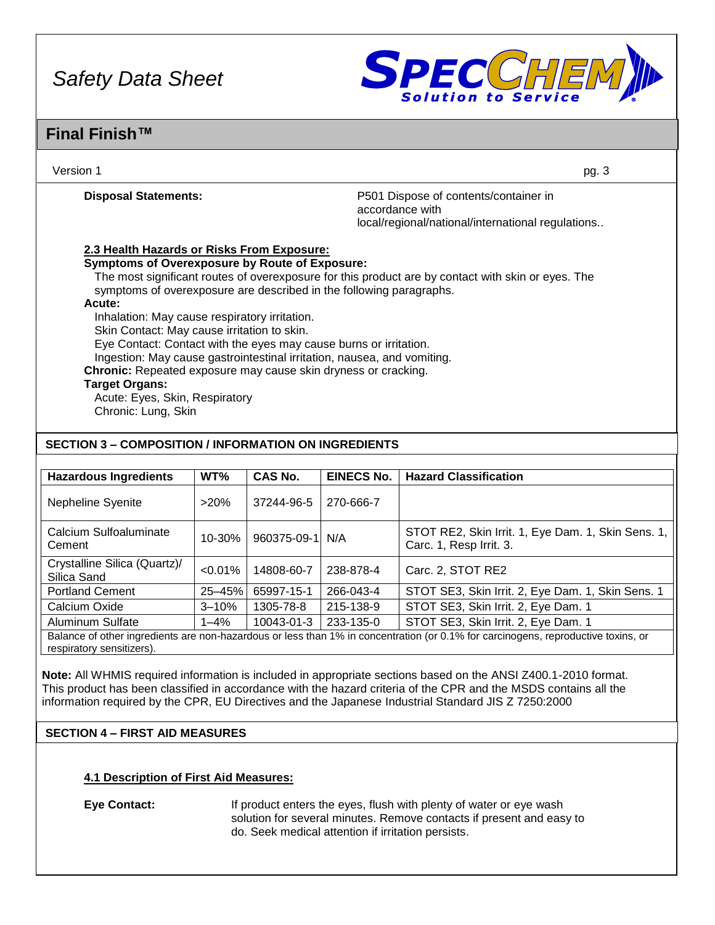

### **Final Finish™**

| Version 1                                                                                                                    | pg. 3                                                                                                         |
|------------------------------------------------------------------------------------------------------------------------------|---------------------------------------------------------------------------------------------------------------|
| <b>Disposal Statements:</b>                                                                                                  | P501 Dispose of contents/container in<br>accordance with<br>local/regional/national/international regulations |
| 2.3 Health Hazards or Risks From Exposure:                                                                                   |                                                                                                               |
| <b>Symptoms of Overexposure by Route of Exposure:</b><br>symptoms of overexposure are described in the following paragraphs. | The most significant routes of overexposure for this product are by contact with skin or eyes. The            |
| Acute:                                                                                                                       |                                                                                                               |
| Inhalation: May cause respiratory irritation.                                                                                |                                                                                                               |
| Skin Contact: May cause irritation to skin.                                                                                  |                                                                                                               |
| Eye Contact: Contact with the eyes may cause burns or irritation.                                                            |                                                                                                               |
| Ingestion: May cause gastrointestinal irritation, nausea, and vomiting.                                                      |                                                                                                               |
| Chronic: Repeated exposure may cause skin dryness or cracking.                                                               |                                                                                                               |
| <b>Target Organs:</b>                                                                                                        |                                                                                                               |
| Acute: Eyes, Skin, Respiratory                                                                                               |                                                                                                               |
| Chronic: Lung, Skin                                                                                                          |                                                                                                               |

#### **SECTION 3 – COMPOSITION / INFORMATION ON INGREDIENTS**

| <b>Hazardous Ingredients</b>                                                                                                                                   | WT%        | <b>CAS No.</b>  | <b>EINECS No.</b> | <b>Hazard Classification</b>                                                  |
|----------------------------------------------------------------------------------------------------------------------------------------------------------------|------------|-----------------|-------------------|-------------------------------------------------------------------------------|
| Nepheline Syenite                                                                                                                                              | >20%       | 37244-96-5      | 270-666-7         |                                                                               |
| Calcium Sulfoaluminate<br>Cement                                                                                                                               | 10-30%     | 960375-09-1 N/A |                   | STOT RE2, Skin Irrit. 1, Eye Dam. 1, Skin Sens. 1,<br>Carc. 1, Resp Irrit. 3. |
| Crystalline Silica (Quartz)/<br>Silica Sand                                                                                                                    | $< 0.01\%$ | 14808-60-7      | 238-878-4         | Carc. 2, STOT RE2                                                             |
| <b>Portland Cement</b>                                                                                                                                         | 25-45%     | 65997-15-1      | 266-043-4         | STOT SE3, Skin Irrit. 2, Eye Dam. 1, Skin Sens. 1                             |
| Calcium Oxide                                                                                                                                                  | $3 - 10%$  | 1305-78-8       | 215-138-9         | STOT SE3, Skin Irrit. 2, Eye Dam. 1                                           |
| Aluminum Sulfate                                                                                                                                               | $1 - 4\%$  | 10043-01-3      | 233-135-0         | STOT SE3, Skin Irrit. 2, Eye Dam. 1                                           |
| Balance of other ingredients are non-hazardous or less than 1% in concentration (or 0.1% for carcinogens, reproductive toxins, or<br>respiratory sensitizers). |            |                 |                   |                                                                               |

**Note:** All WHMIS required information is included in appropriate sections based on the ANSI Z400.1-2010 format. This product has been classified in accordance with the hazard criteria of the CPR and the MSDS contains all the information required by the CPR, EU Directives and the Japanese Industrial Standard JIS Z 7250:2000

#### **SECTION 4 – FIRST AID MEASURES**

#### **4.1 Description of First Aid Measures:**

**Eye Contact:** If product enters the eyes, flush with plenty of water or eye wash solution for several minutes. Remove contacts if present and easy to do. Seek medical attention if irritation persists.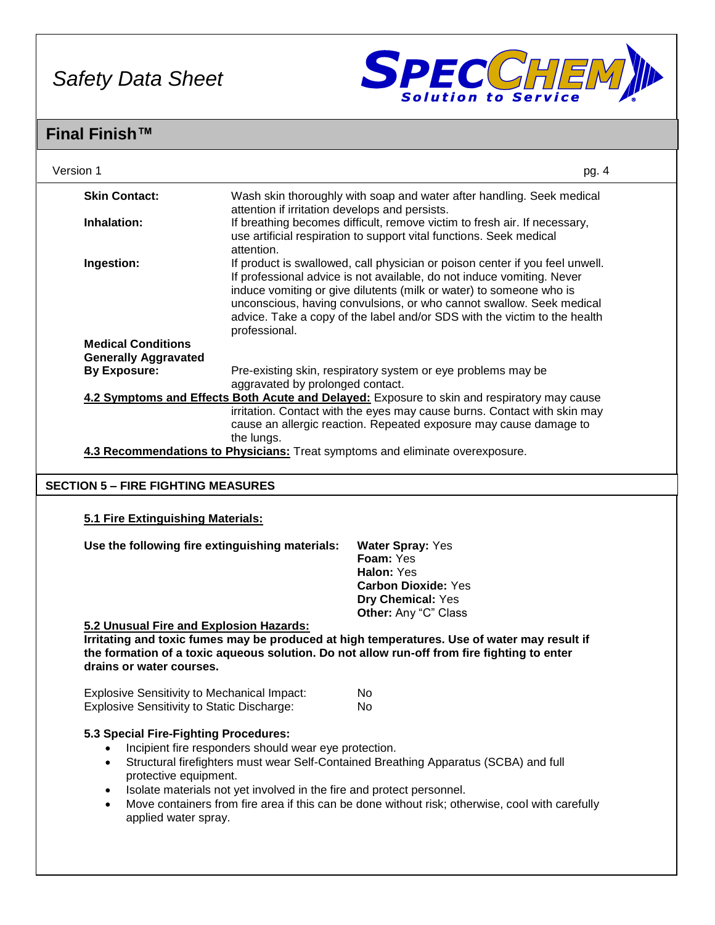

| Version 1                                                                                               |                                                                                                                                                                          | pg. 4                                                                                                                                         |  |  |  |
|---------------------------------------------------------------------------------------------------------|--------------------------------------------------------------------------------------------------------------------------------------------------------------------------|-----------------------------------------------------------------------------------------------------------------------------------------------|--|--|--|
| <b>Skin Contact:</b>                                                                                    |                                                                                                                                                                          | Wash skin thoroughly with soap and water after handling. Seek medical                                                                         |  |  |  |
| Inhalation:                                                                                             |                                                                                                                                                                          | attention if irritation develops and persists.<br>If breathing becomes difficult, remove victim to fresh air. If necessary,                   |  |  |  |
|                                                                                                         | attention.                                                                                                                                                               | use artificial respiration to support vital functions. Seek medical                                                                           |  |  |  |
| Ingestion:                                                                                              |                                                                                                                                                                          | If product is swallowed, call physician or poison center if you feel unwell.                                                                  |  |  |  |
|                                                                                                         |                                                                                                                                                                          | If professional advice is not available, do not induce vomiting. Never<br>induce vomiting or give dilutents (milk or water) to someone who is |  |  |  |
|                                                                                                         |                                                                                                                                                                          | unconscious, having convulsions, or who cannot swallow. Seek medical                                                                          |  |  |  |
|                                                                                                         | professional.                                                                                                                                                            | advice. Take a copy of the label and/or SDS with the victim to the health                                                                     |  |  |  |
| <b>Medical Conditions</b>                                                                               |                                                                                                                                                                          |                                                                                                                                               |  |  |  |
| <b>Generally Aggravated</b><br><b>By Exposure:</b>                                                      |                                                                                                                                                                          |                                                                                                                                               |  |  |  |
|                                                                                                         | aggravated by prolonged contact.                                                                                                                                         | Pre-existing skin, respiratory system or eye problems may be                                                                                  |  |  |  |
|                                                                                                         |                                                                                                                                                                          | 4.2 Symptoms and Effects Both Acute and Delayed: Exposure to skin and respiratory may cause                                                   |  |  |  |
|                                                                                                         |                                                                                                                                                                          | irritation. Contact with the eyes may cause burns. Contact with skin may<br>cause an allergic reaction. Repeated exposure may cause damage to |  |  |  |
|                                                                                                         | the lungs.                                                                                                                                                               |                                                                                                                                               |  |  |  |
|                                                                                                         |                                                                                                                                                                          | 4.3 Recommendations to Physicians: Treat symptoms and eliminate overexposure.                                                                 |  |  |  |
| <b>SECTION 5 - FIRE FIGHTING MEASURES</b>                                                               |                                                                                                                                                                          |                                                                                                                                               |  |  |  |
|                                                                                                         |                                                                                                                                                                          |                                                                                                                                               |  |  |  |
| 5.1 Fire Extinguishing Materials:                                                                       |                                                                                                                                                                          |                                                                                                                                               |  |  |  |
| Use the following fire extinguishing materials:                                                         |                                                                                                                                                                          | <b>Water Spray: Yes</b>                                                                                                                       |  |  |  |
|                                                                                                         |                                                                                                                                                                          | Foam: Yes<br>Halon: Yes                                                                                                                       |  |  |  |
|                                                                                                         |                                                                                                                                                                          | <b>Carbon Dioxide: Yes</b>                                                                                                                    |  |  |  |
|                                                                                                         |                                                                                                                                                                          | Dry Chemical: Yes                                                                                                                             |  |  |  |
| 5.2 Unusual Fire and Explosion Hazards:                                                                 |                                                                                                                                                                          | Other: Any "C" Class                                                                                                                          |  |  |  |
|                                                                                                         |                                                                                                                                                                          | Irritating and toxic fumes may be produced at high temperatures. Use of water may result if                                                   |  |  |  |
| drains or water courses.                                                                                |                                                                                                                                                                          | the formation of a toxic aqueous solution. Do not allow run-off from fire fighting to enter                                                   |  |  |  |
|                                                                                                         |                                                                                                                                                                          |                                                                                                                                               |  |  |  |
| <b>Explosive Sensitivity to Mechanical Impact:</b><br><b>Explosive Sensitivity to Static Discharge:</b> |                                                                                                                                                                          | No<br>No.                                                                                                                                     |  |  |  |
|                                                                                                         |                                                                                                                                                                          |                                                                                                                                               |  |  |  |
| 5.3 Special Fire-Fighting Procedures:                                                                   |                                                                                                                                                                          |                                                                                                                                               |  |  |  |
| $\bullet$                                                                                               | Incipient fire responders should wear eye protection.                                                                                                                    | Structural firefighters must wear Self-Contained Breathing Apparatus (SCBA) and full                                                          |  |  |  |
| protective equipment.                                                                                   |                                                                                                                                                                          |                                                                                                                                               |  |  |  |
| $\bullet$<br>$\bullet$                                                                                  | Isolate materials not yet involved in the fire and protect personnel.<br>Move containers from fire area if this can be done without risk; otherwise, cool with carefully |                                                                                                                                               |  |  |  |
| applied water spray.                                                                                    |                                                                                                                                                                          |                                                                                                                                               |  |  |  |
|                                                                                                         |                                                                                                                                                                          |                                                                                                                                               |  |  |  |
|                                                                                                         |                                                                                                                                                                          |                                                                                                                                               |  |  |  |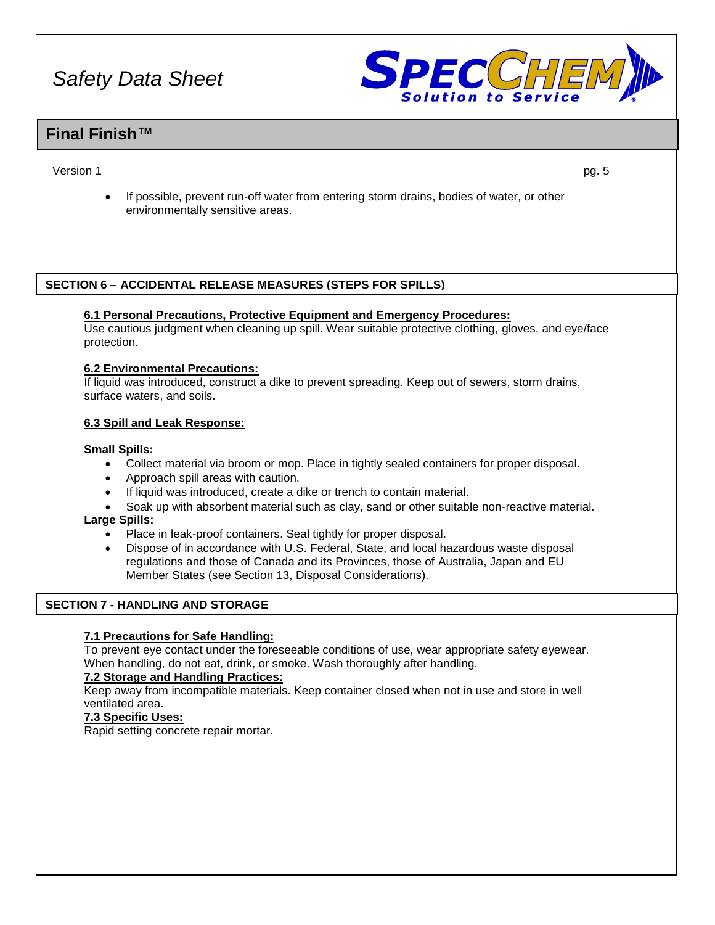

### **Final Finish™**

#### Version 1 pg. 5

• If possible, prevent run-off water from entering storm drains, bodies of water, or other environmentally sensitive areas.

#### **SECTION 6 – ACCIDENTAL RELEASE MEASURES (STEPS FOR SPILLS)**

#### **6.1 Personal Precautions, Protective Equipment and Emergency Procedures:**

Use cautious judgment when cleaning up spill. Wear suitable protective clothing, gloves, and eye/face protection.

#### **6.2 Environmental Precautions:**

If liquid was introduced, construct a dike to prevent spreading. Keep out of sewers, storm drains, surface waters, and soils.

#### **6.3 Spill and Leak Response:**

#### **Small Spills:**

- Collect material via broom or mop. Place in tightly sealed containers for proper disposal.
- Approach spill areas with caution.
- If liquid was introduced, create a dike or trench to contain material.
- Soak up with absorbent material such as clay, sand or other suitable non-reactive material.

#### **Large Spills:**

- Place in leak-proof containers. Seal tightly for proper disposal.
- Dispose of in accordance with U.S. Federal, State, and local hazardous waste disposal regulations and those of Canada and its Provinces, those of Australia, Japan and EU Member States (see Section 13, Disposal Considerations).

#### **SECTION 7 - HANDLING AND STORAGE**

#### **7.1 Precautions for Safe Handling:**

To prevent eye contact under the foreseeable conditions of use, wear appropriate safety eyewear. When handling, do not eat, drink, or smoke. Wash thoroughly after handling.

#### **7.2 Storage and Handling Practices:**

Keep away from incompatible materials. Keep container closed when not in use and store in well ventilated area.

#### **7.3 Specific Uses:**

Rapid setting concrete repair mortar.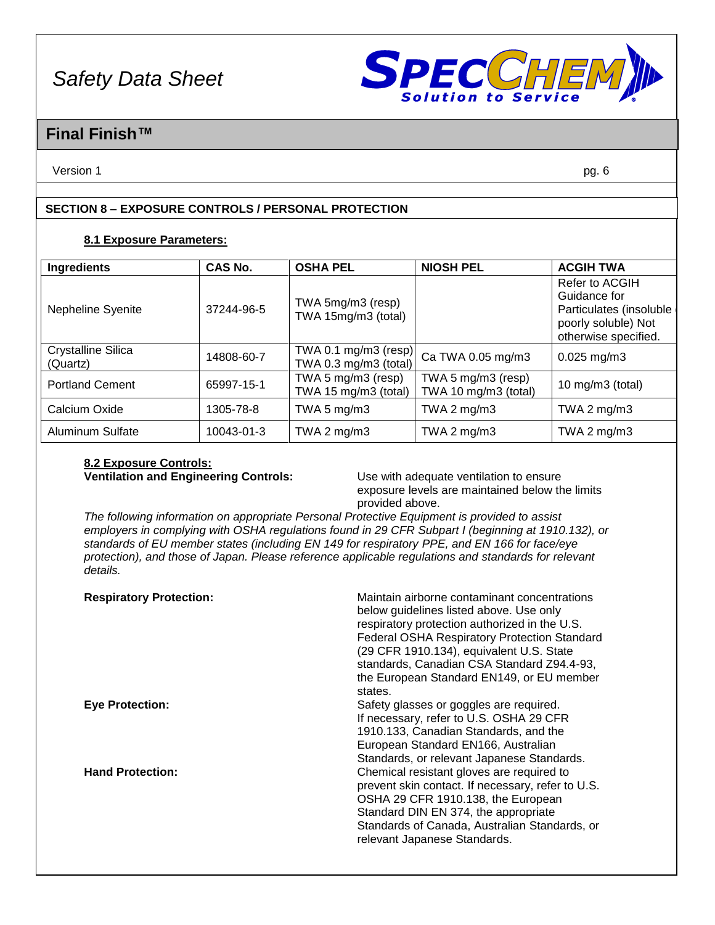

### **Final Finish™**

Version 1 pg. 6

#### **SECTION 8 – EXPOSURE CONTROLS / PERSONAL PROTECTION**

#### **8.1 Exposure Parameters:**

| <b>Ingredients</b>                    | <b>CAS No.</b> | <b>OSHA PEL</b>                               | <b>NIOSH PEL</b>                           | <b>ACGIH TWA</b>                                                                                         |
|---------------------------------------|----------------|-----------------------------------------------|--------------------------------------------|----------------------------------------------------------------------------------------------------------|
| Nepheline Syenite                     | 37244-96-5     | TWA 5mg/m3 (resp)<br>TWA 15mg/m3 (total)      |                                            | Refer to ACGIH<br>Guidance for<br>Particulates (insoluble<br>poorly soluble) Not<br>otherwise specified. |
| <b>Crystalline Silica</b><br>(Quartz) | 14808-60-7     | TWA 0.1 mg/m3 (resp)<br>TWA 0.3 mg/m3 (total) | Ca TWA 0.05 mg/m3                          | $0.025$ mg/m3                                                                                            |
| <b>Portland Cement</b>                | 65997-15-1     | TWA 5 mg/m3 (resp)<br>TWA 15 mg/m3 (total)    | TWA 5 mg/m3 (resp)<br>TWA 10 mg/m3 (total) | 10 mg/m $3$ (total)                                                                                      |
| Calcium Oxide                         | 1305-78-8      | TWA 5 $mg/m3$                                 | TWA 2 $mg/m3$                              | TWA 2 $mg/m3$                                                                                            |
| <b>Aluminum Sulfate</b>               | 10043-01-3     | TWA 2 $mg/m3$                                 | TWA 2 $mg/m3$                              | TWA 2 $mg/m3$                                                                                            |

# **8.2 Exposure Controls:**

**Ventilation and Engineering Controls:** Use with adequate ventilation to ensure exposure levels are maintained below the limits provided above.

*The following information on appropriate Personal Protective Equipment is provided to assist employers in complying with OSHA regulations found in 29 CFR Subpart I (beginning at 1910.132), or standards of EU member states (including EN 149 for respiratory PPE, and EN 166 for face/eye protection), and those of Japan. Please reference applicable regulations and standards for relevant details.*

| <b>Respiratory Protection:</b> | Maintain airborne contaminant concentrations<br>below guidelines listed above. Use only<br>respiratory protection authorized in the U.S.<br><b>Federal OSHA Respiratory Protection Standard</b><br>(29 CFR 1910.134), equivalent U.S. State<br>standards, Canadian CSA Standard Z94.4-93,<br>the European Standard EN149, or EU member<br>states. |
|--------------------------------|---------------------------------------------------------------------------------------------------------------------------------------------------------------------------------------------------------------------------------------------------------------------------------------------------------------------------------------------------|
| <b>Eye Protection:</b>         | Safety glasses or goggles are required.<br>If necessary, refer to U.S. OSHA 29 CFR<br>1910.133, Canadian Standards, and the<br>European Standard EN166, Australian<br>Standards, or relevant Japanese Standards.                                                                                                                                  |
| <b>Hand Protection:</b>        | Chemical resistant gloves are required to<br>prevent skin contact. If necessary, refer to U.S.<br>OSHA 29 CFR 1910.138, the European<br>Standard DIN EN 374, the appropriate<br>Standards of Canada, Australian Standards, or<br>relevant Japanese Standards.                                                                                     |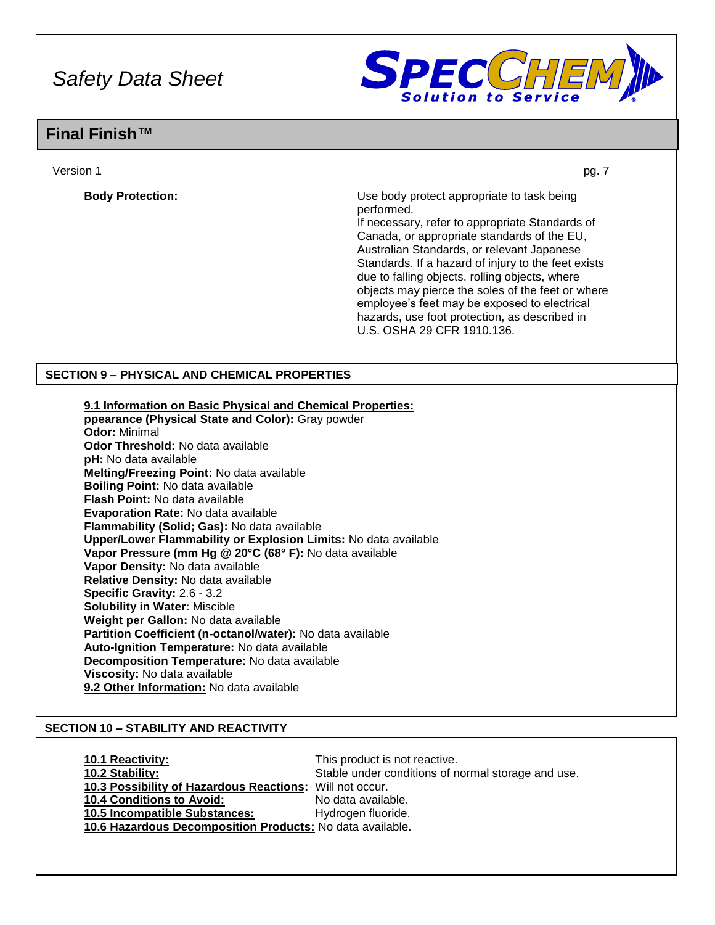

| Version 1                                                                                                                                                                                                                                                                                                                                                                                                                                                                                                                                                                                                                                                                                                                                                                                                                                                                                                                                                                                | pg. 7                                                                                                                                                                                                                                                                                                                                                                                                                                                                                                 |
|------------------------------------------------------------------------------------------------------------------------------------------------------------------------------------------------------------------------------------------------------------------------------------------------------------------------------------------------------------------------------------------------------------------------------------------------------------------------------------------------------------------------------------------------------------------------------------------------------------------------------------------------------------------------------------------------------------------------------------------------------------------------------------------------------------------------------------------------------------------------------------------------------------------------------------------------------------------------------------------|-------------------------------------------------------------------------------------------------------------------------------------------------------------------------------------------------------------------------------------------------------------------------------------------------------------------------------------------------------------------------------------------------------------------------------------------------------------------------------------------------------|
| <b>Body Protection:</b>                                                                                                                                                                                                                                                                                                                                                                                                                                                                                                                                                                                                                                                                                                                                                                                                                                                                                                                                                                  | Use body protect appropriate to task being<br>performed.<br>If necessary, refer to appropriate Standards of<br>Canada, or appropriate standards of the EU,<br>Australian Standards, or relevant Japanese<br>Standards. If a hazard of injury to the feet exists<br>due to falling objects, rolling objects, where<br>objects may pierce the soles of the feet or where<br>employee's feet may be exposed to electrical<br>hazards, use foot protection, as described in<br>U.S. OSHA 29 CFR 1910.136. |
| <b>SECTION 9 - PHYSICAL AND CHEMICAL PROPERTIES</b>                                                                                                                                                                                                                                                                                                                                                                                                                                                                                                                                                                                                                                                                                                                                                                                                                                                                                                                                      |                                                                                                                                                                                                                                                                                                                                                                                                                                                                                                       |
| 9.1 Information on Basic Physical and Chemical Properties:<br>ppearance (Physical State and Color): Gray powder<br><b>Odor: Minimal</b><br><b>Odor Threshold: No data available</b><br>pH: No data available<br>Melting/Freezing Point: No data available<br>Boiling Point: No data available<br>Flash Point: No data available<br>Evaporation Rate: No data available<br>Flammability (Solid; Gas): No data available<br>Upper/Lower Flammability or Explosion Limits: No data available<br>Vapor Pressure (mm Hg @ 20°C (68° F): No data available<br>Vapor Density: No data available<br>Relative Density: No data available<br>Specific Gravity: 2.6 - 3.2<br><b>Solubility in Water: Miscible</b><br>Weight per Gallon: No data available<br>Partition Coefficient (n-octanol/water): No data available<br>Auto-Ignition Temperature: No data available<br>Decomposition Temperature: No data available<br>Viscosity: No data available<br>9.2 Other Information: No data available |                                                                                                                                                                                                                                                                                                                                                                                                                                                                                                       |
| <b>SECTION 10 - STABILITY AND REACTIVITY</b>                                                                                                                                                                                                                                                                                                                                                                                                                                                                                                                                                                                                                                                                                                                                                                                                                                                                                                                                             |                                                                                                                                                                                                                                                                                                                                                                                                                                                                                                       |
| 10.1 Reactivity:<br>10.2 Stability:<br>10.3 Possibility of Hazardous Reactions:<br>10.4 Conditions to Avoid:<br>10.5 Incompatible Substances:<br>10.6 Hazardous Decomposition Products: No data available.                                                                                                                                                                                                                                                                                                                                                                                                                                                                                                                                                                                                                                                                                                                                                                               | This product is not reactive.<br>Stable under conditions of normal storage and use.<br>Will not occur.<br>No data available.<br>Hydrogen fluoride.                                                                                                                                                                                                                                                                                                                                                    |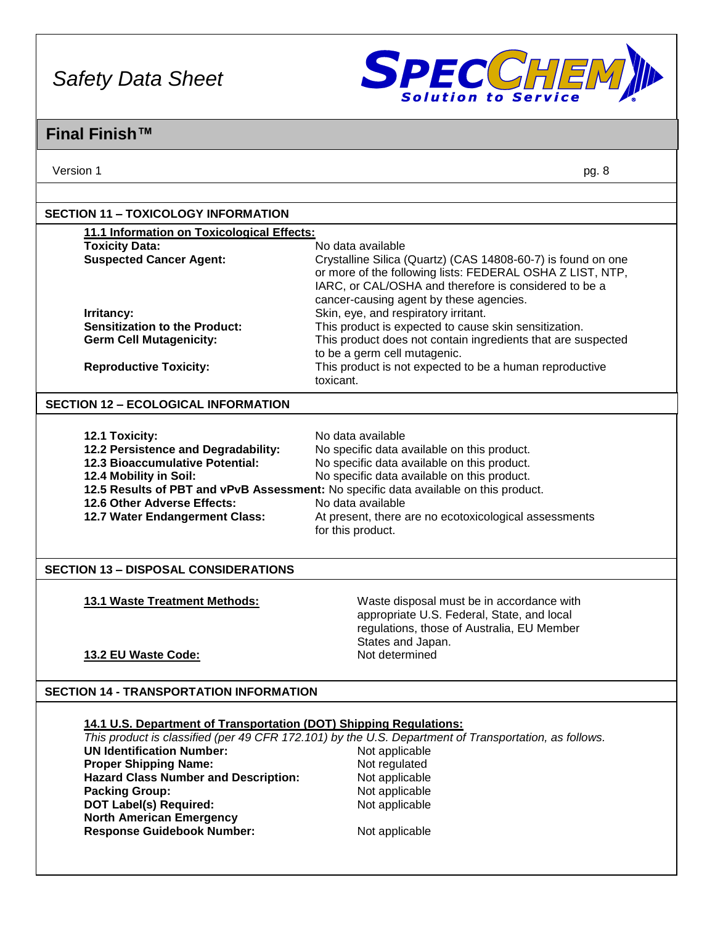

### **Final Finish™**

Version 1 pg. 8

| 11.1 Information on Toxicological Effects:                                                                             |                                                                                                                    |
|------------------------------------------------------------------------------------------------------------------------|--------------------------------------------------------------------------------------------------------------------|
| <b>Toxicity Data:</b>                                                                                                  | No data available                                                                                                  |
| <b>Suspected Cancer Agent:</b>                                                                                         | Crystalline Silica (Quartz) (CAS 14808-60-7) is found on one                                                       |
|                                                                                                                        | or more of the following lists: FEDERAL OSHA Z LIST, NTP,<br>IARC, or CAL/OSHA and therefore is considered to be a |
|                                                                                                                        | cancer-causing agent by these agencies.                                                                            |
| Irritancy:                                                                                                             | Skin, eye, and respiratory irritant.                                                                               |
| <b>Sensitization to the Product:</b>                                                                                   | This product is expected to cause skin sensitization.                                                              |
| <b>Germ Cell Mutagenicity:</b>                                                                                         | This product does not contain ingredients that are suspected                                                       |
|                                                                                                                        | to be a germ cell mutagenic.                                                                                       |
| <b>Reproductive Toxicity:</b>                                                                                          | This product is not expected to be a human reproductive                                                            |
|                                                                                                                        | toxicant.                                                                                                          |
| <b>SECTION 12 - ECOLOGICAL INFORMATION</b>                                                                             |                                                                                                                    |
| 12.1 Toxicity:                                                                                                         | No data available                                                                                                  |
| 12.2 Persistence and Degradability:                                                                                    | No specific data available on this product.                                                                        |
| <b>12.3 Bioaccumulative Potential:</b>                                                                                 | No specific data available on this product.                                                                        |
| 12.4 Mobility in Soil:                                                                                                 | No specific data available on this product.                                                                        |
|                                                                                                                        | 12.5 Results of PBT and vPvB Assessment: No specific data available on this product.                               |
| 12.6 Other Adverse Effects:                                                                                            | No data available                                                                                                  |
|                                                                                                                        |                                                                                                                    |
| 12.7 Water Endangerment Class:                                                                                         | At present, there are no ecotoxicological assessments                                                              |
|                                                                                                                        | for this product.                                                                                                  |
|                                                                                                                        |                                                                                                                    |
| 13.1 Waste Treatment Methods:                                                                                          | Waste disposal must be in accordance with                                                                          |
|                                                                                                                        | appropriate U.S. Federal, State, and local                                                                         |
|                                                                                                                        | regulations, those of Australia, EU Member                                                                         |
|                                                                                                                        | States and Japan.                                                                                                  |
| 13.2 EU Waste Code:                                                                                                    | Not determined                                                                                                     |
|                                                                                                                        |                                                                                                                    |
| 14.1 U.S. Department of Transportation (DOT) Shipping Regulations:                                                     |                                                                                                                    |
|                                                                                                                        | This product is classified (per 49 CFR 172.101) by the U.S. Department of Transportation, as follows.              |
| <b>UN Identification Number:</b>                                                                                       | Not applicable                                                                                                     |
| <b>Proper Shipping Name:</b>                                                                                           | Not regulated                                                                                                      |
| <b>Hazard Class Number and Description:</b>                                                                            | Not applicable                                                                                                     |
| <b>SECTION 13 - DISPOSAL CONSIDERATIONS</b><br><b>SECTION 14 - TRANSPORTATION INFORMATION</b><br><b>Packing Group:</b> | Not applicable                                                                                                     |
| <b>DOT Label(s) Required:</b>                                                                                          | Not applicable                                                                                                     |
| <b>North American Emergency</b><br><b>Response Guidebook Number:</b>                                                   | Not applicable                                                                                                     |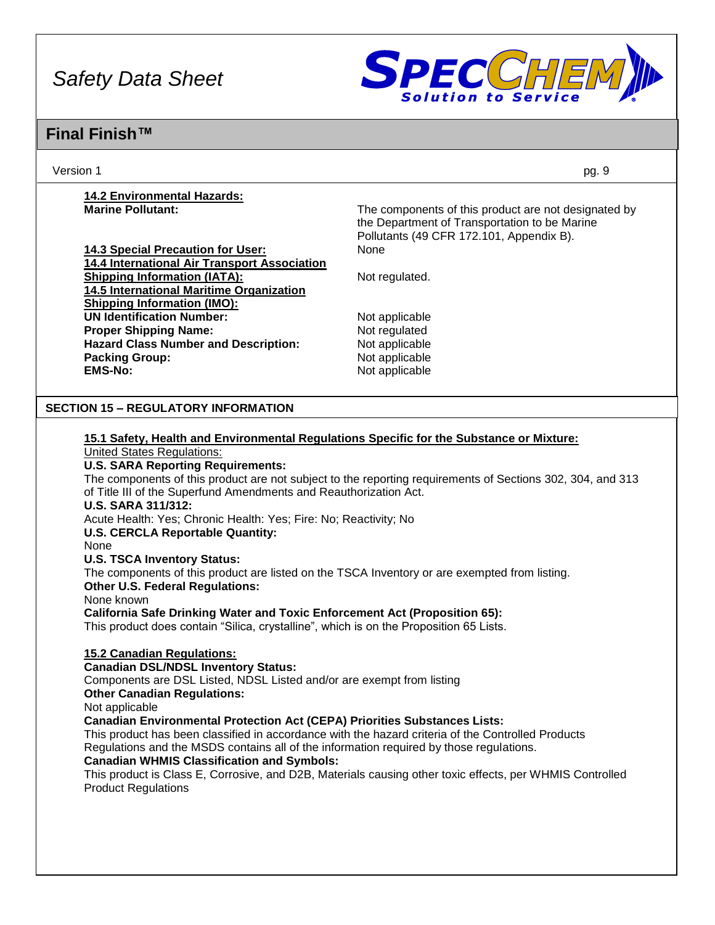

### **Final Finish™**

Version 1 pg. 9

# **14.2 Environmental Hazards:**

**14.3 Special Precaution for User:** None **14.4 International Air Transport Association Shipping Information (IATA):** Not regulated. **14.5 International Maritime Organization Shipping Information (IMO): UN Identification Number:** Not applicable **Proper Shipping Name:** Not regulated **Hazard Class Number and Description:** Not applicable **Packing Group:** Not applicable **EMS-No:** Not applicable

**Marine Pollutant:** The components of this product are not designated by **Marine Pollutant:** the Department of Transportation to be Marine Pollutants (49 CFR 172.101, Appendix B).

#### **SECTION 15 – REGULATORY INFORMATION**

### **15.1 Safety, Health and Environmental Regulations Specific for the Substance or Mixture:**

United States Regulations:

**U.S. SARA Reporting Requirements:**

The components of this product are not subject to the reporting requirements of Sections 302, 304, and 313 of Title III of the Superfund Amendments and Reauthorization Act.

**U.S. SARA 311/312:**

Acute Health: Yes; Chronic Health: Yes; Fire: No; Reactivity; No

**U.S. CERCLA Reportable Quantity:**

None

**U.S. TSCA Inventory Status:**

The components of this product are listed on the TSCA Inventory or are exempted from listing.

**Other U.S. Federal Regulations:**

None known

**California Safe Drinking Water and Toxic Enforcement Act (Proposition 65):**

This product does contain "Silica, crystalline", which is on the Proposition 65 Lists.

#### **15.2 Canadian Regulations:**

**Canadian DSL/NDSL Inventory Status:**

Components are DSL Listed, NDSL Listed and/or are exempt from listing

**Other Canadian Regulations:**

Not applicable

**Canadian Environmental Protection Act (CEPA) Priorities Substances Lists:**

This product has been classified in accordance with the hazard criteria of the Controlled Products Regulations and the MSDS contains all of the information required by those regulations.

#### **Canadian WHMIS Classification and Symbols:**

This product is Class E, Corrosive, and D2B, Materials causing other toxic effects, per WHMIS Controlled Product Regulations